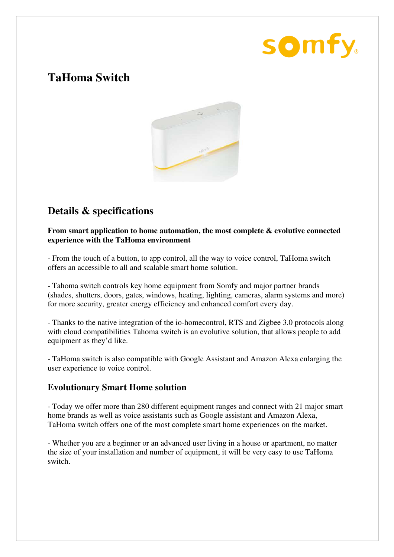# somfy.

# **TaHoma Switch**



# **Details & specifications**

**From smart application to home automation, the most complete & evolutive connected experience with the TaHoma environment** 

- From the touch of a button, to app control, all the way to voice control, TaHoma switch offers an accessible to all and scalable smart home solution.

- Tahoma switch controls key home equipment from Somfy and major partner brands (shades, shutters, doors, gates, windows, heating, lighting, cameras, alarm systems and more) for more security, greater energy efficiency and enhanced comfort every day.

- Thanks to the native integration of the io-homecontrol, RTS and Zigbee 3.0 protocols along with cloud compatibilities Tahoma switch is an evolutive solution, that allows people to add equipment as they'd like.

- TaHoma switch is also compatible with Google Assistant and Amazon Alexa enlarging the user experience to voice control.

## **Evolutionary Smart Home solution**

- Today we offer more than 280 different equipment ranges and connect with 21 major smart home brands as well as voice assistants such as Google assistant and Amazon Alexa, TaHoma switch offers one of the most complete smart home experiences on the market.

- Whether you are a beginner or an advanced user living in a house or apartment, no matter the size of your installation and number of equipment, it will be very easy to use TaHoma switch.